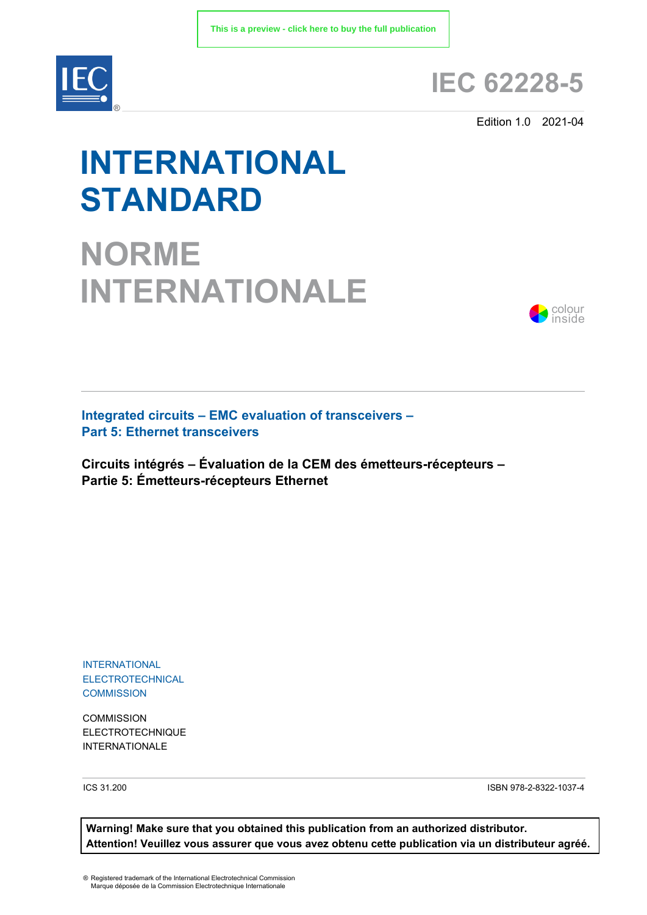

## **IEC 62228-5**

Edition 1.0 2021-04

# **INTERNATIONAL STANDARD**

**NORME INTERNATIONALE**



**Integrated circuits – EMC evaluation of transceivers – Part 5: Ethernet transceivers** 

**Circuits intégrés – Évaluation de la CEM des émetteurs-récepteurs – Partie 5: Émetteurs-récepteurs Ethernet**

INTERNATIONAL ELECTROTECHNICAL **COMMISSION** 

**COMMISSION** ELECTROTECHNIQUE INTERNATIONALE

ICS 31.200 ISBN 978-2-8322-1037-4

**Warning! Make sure that you obtained this publication from an authorized distributor. Attention! Veuillez vous assurer que vous avez obtenu cette publication via un distributeur agréé.**

® Registered trademark of the International Electrotechnical Commission Marque déposée de la Commission Electrotechnique Internationale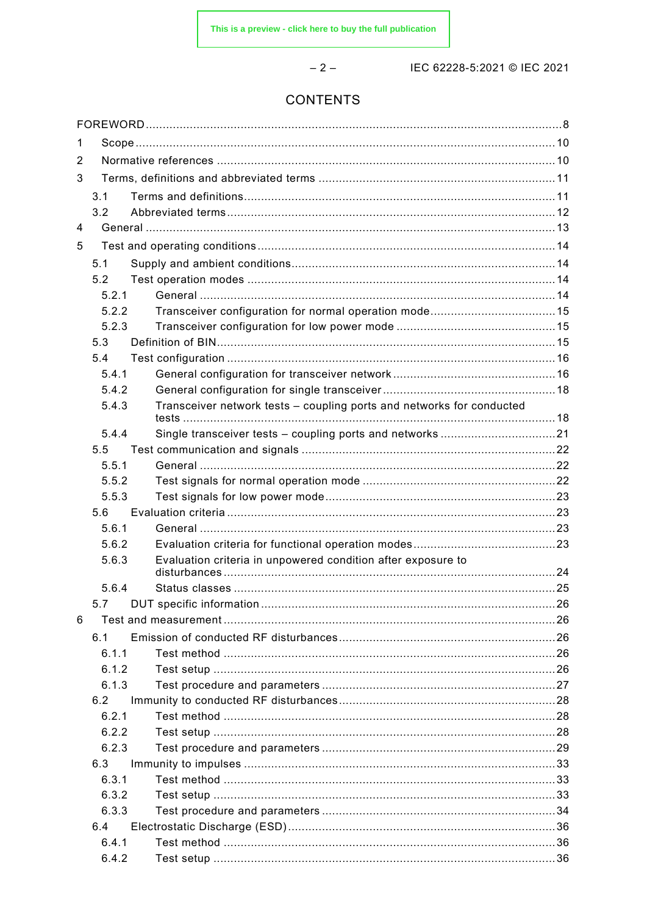$-2-$ 

IEC 62228-5:2021 © IEC 2021

### CONTENTS

| 1 |       |                                                                       |  |
|---|-------|-----------------------------------------------------------------------|--|
| 2 |       |                                                                       |  |
| 3 |       |                                                                       |  |
|   | 3.1   |                                                                       |  |
|   | 3.2   |                                                                       |  |
| 4 |       |                                                                       |  |
| 5 |       |                                                                       |  |
|   | 5.1   |                                                                       |  |
|   | 5.2   |                                                                       |  |
|   | 5.2.1 |                                                                       |  |
|   | 5.2.2 |                                                                       |  |
|   | 5.2.3 |                                                                       |  |
|   | 5.3   |                                                                       |  |
|   | 5.4   |                                                                       |  |
|   | 5.4.1 |                                                                       |  |
|   | 5.4.2 |                                                                       |  |
|   | 5.4.3 | Transceiver network tests - coupling ports and networks for conducted |  |
|   | 5.4.4 | Single transceiver tests - coupling ports and networks 21             |  |
|   | 5.5   |                                                                       |  |
|   | 5.5.1 |                                                                       |  |
|   | 5.5.2 |                                                                       |  |
|   | 5.5.3 |                                                                       |  |
|   | 5.6   |                                                                       |  |
|   | 5.6.1 |                                                                       |  |
|   | 5.6.2 |                                                                       |  |
|   | 5.6.3 | Evaluation criteria in unpowered condition after exposure to          |  |
|   | 5.6.4 |                                                                       |  |
|   | 5.7   |                                                                       |  |
| 6 |       |                                                                       |  |
|   | 6.1   |                                                                       |  |
|   | 6.1.1 |                                                                       |  |
|   | 6.1.2 |                                                                       |  |
|   | 6.1.3 |                                                                       |  |
|   | 6.2   |                                                                       |  |
|   | 6.2.1 |                                                                       |  |
|   | 6.2.2 |                                                                       |  |
|   | 6.2.3 |                                                                       |  |
|   | 6.3   |                                                                       |  |
|   | 6.3.1 |                                                                       |  |
|   | 6.3.2 |                                                                       |  |
|   | 6.3.3 |                                                                       |  |
|   | 6.4   |                                                                       |  |
|   | 6.4.1 |                                                                       |  |
|   | 6.4.2 |                                                                       |  |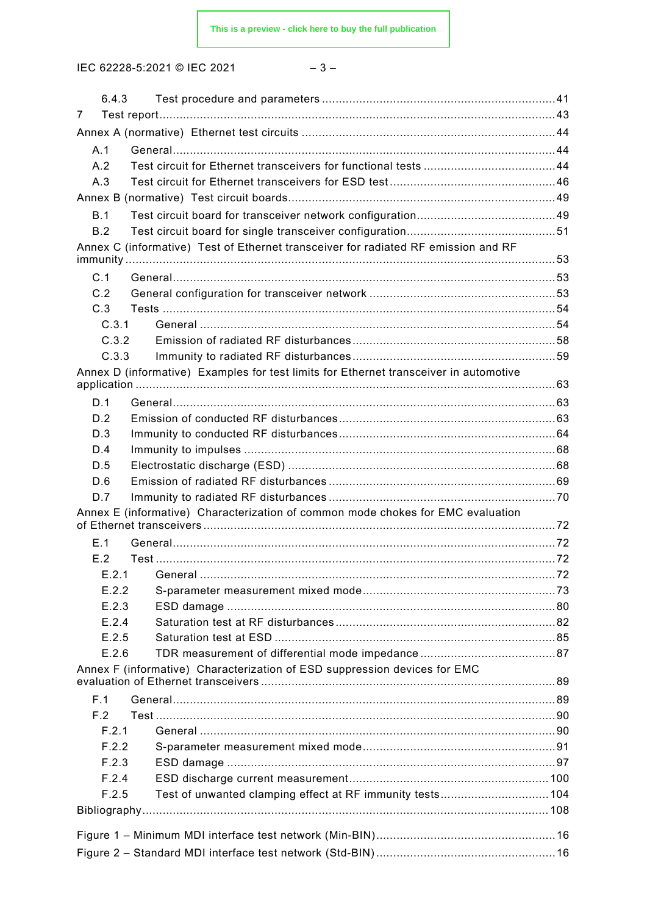$$
-3- \nonumber\\
$$

| 6.4.3        |                                                                                       |  |
|--------------|---------------------------------------------------------------------------------------|--|
| 7            |                                                                                       |  |
|              |                                                                                       |  |
|              |                                                                                       |  |
| A.1          |                                                                                       |  |
| A.2          |                                                                                       |  |
| A.3          |                                                                                       |  |
|              |                                                                                       |  |
| B.1          |                                                                                       |  |
| B.2          |                                                                                       |  |
|              | Annex C (informative) Test of Ethernet transceiver for radiated RF emission and RF    |  |
|              |                                                                                       |  |
| C.1<br>C.2   |                                                                                       |  |
|              |                                                                                       |  |
| C.3<br>C.3.1 |                                                                                       |  |
| C.3.2        |                                                                                       |  |
| C.3.3        |                                                                                       |  |
|              |                                                                                       |  |
|              | Annex D (informative) Examples for test limits for Ethernet transceiver in automotive |  |
| D.1          |                                                                                       |  |
| D.2          |                                                                                       |  |
| D.3          |                                                                                       |  |
| D.4          |                                                                                       |  |
| D.5          |                                                                                       |  |
| D.6          |                                                                                       |  |
| D.7          |                                                                                       |  |
|              | Annex E (informative) Characterization of common mode chokes for EMC evaluation       |  |
|              |                                                                                       |  |
| E.1          |                                                                                       |  |
| E.2          |                                                                                       |  |
| E.2.1        |                                                                                       |  |
| E.2.2        |                                                                                       |  |
| E.2.3        |                                                                                       |  |
| E.2.4        |                                                                                       |  |
| E.2.5        |                                                                                       |  |
| E.2.6        |                                                                                       |  |
|              | Annex F (informative) Characterization of ESD suppression devices for EMC             |  |
|              |                                                                                       |  |
| F.1          |                                                                                       |  |
| F.2          |                                                                                       |  |
| F.2.1        |                                                                                       |  |
| F.2.2        |                                                                                       |  |
| F.2.3        |                                                                                       |  |
| F.2.4        |                                                                                       |  |
| F.2.5        | Test of unwanted clamping effect at RF immunity tests104                              |  |
|              |                                                                                       |  |
|              |                                                                                       |  |
|              |                                                                                       |  |
|              |                                                                                       |  |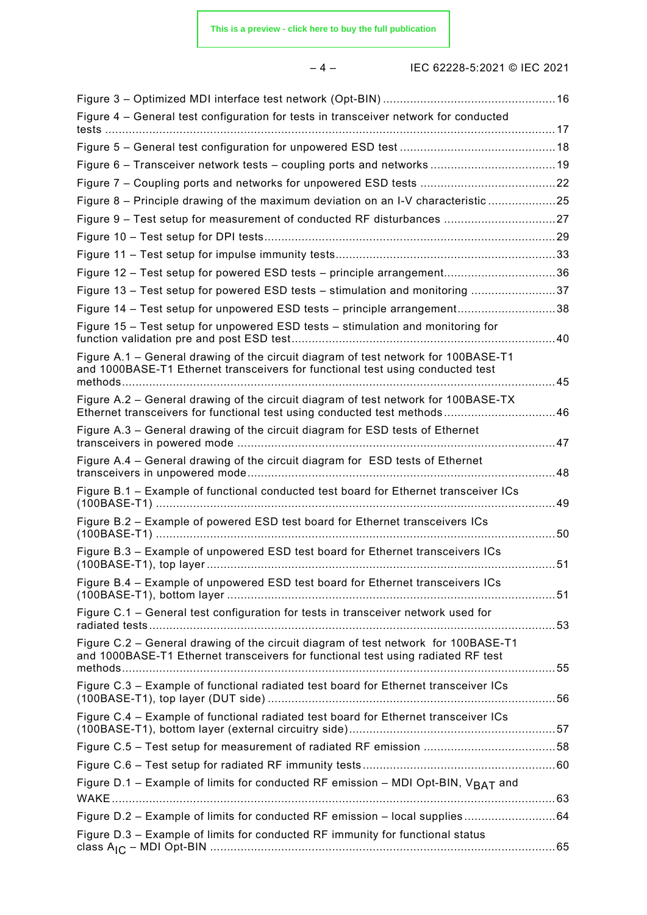– 4 – IEC 62228-5:2021 © IEC 2021

| Figure 4 - General test configuration for tests in transceiver network for conducted                                                                                   |      |
|------------------------------------------------------------------------------------------------------------------------------------------------------------------------|------|
|                                                                                                                                                                        |      |
| Figure 6 – Transceiver network tests – coupling ports and networks  19                                                                                                 |      |
|                                                                                                                                                                        |      |
| Figure 8 – Principle drawing of the maximum deviation on an I-V characteristic 25                                                                                      |      |
| Figure 9 - Test setup for measurement of conducted RF disturbances 27                                                                                                  |      |
|                                                                                                                                                                        |      |
|                                                                                                                                                                        |      |
| Figure 12 - Test setup for powered ESD tests - principle arrangement36                                                                                                 |      |
| Figure 13 - Test setup for powered ESD tests - stimulation and monitoring 37                                                                                           |      |
| Figure 14 - Test setup for unpowered ESD tests - principle arrangement38                                                                                               |      |
| Figure 15 - Test setup for unpowered ESD tests - stimulation and monitoring for                                                                                        |      |
| Figure A.1 – General drawing of the circuit diagram of test network for 100BASE-T1<br>and 1000BASE-T1 Ethernet transceivers for functional test using conducted test   | . 45 |
| Figure A.2 - General drawing of the circuit diagram of test network for 100BASE-TX<br>Ethernet transceivers for functional test using conducted test methods46         |      |
| Figure A.3 - General drawing of the circuit diagram for ESD tests of Ethernet                                                                                          |      |
| Figure A.4 – General drawing of the circuit diagram for ESD tests of Ethernet                                                                                          |      |
| Figure B.1 - Example of functional conducted test board for Ethernet transceiver ICs                                                                                   |      |
| Figure B.2 - Example of powered ESD test board for Ethernet transceivers ICs                                                                                           |      |
| Figure B.3 - Example of unpowered ESD test board for Ethernet transceivers ICs                                                                                         |      |
| Figure B.4 - Example of unpowered ESD test board for Ethernet transceivers ICs                                                                                         |      |
| Figure C.1 – General test configuration for tests in transceiver network used for                                                                                      |      |
| Figure C.2 - General drawing of the circuit diagram of test network for 100BASE-T1<br>and 1000BASE-T1 Ethernet transceivers for functional test using radiated RF test |      |
| Figure C.3 - Example of functional radiated test board for Ethernet transceiver ICs<br>(100BASE-T1), top layer (DUT side) …………………………………………………………………………56               |      |
| Figure C.4 – Example of functional radiated test board for Ethernet transceiver ICs                                                                                    |      |
|                                                                                                                                                                        |      |
|                                                                                                                                                                        |      |
| Figure D.1 – Example of limits for conducted RF emission – MDI Opt-BIN, V <sub>BAT</sub> and                                                                           |      |
| Figure D.2 - Example of limits for conducted RF emission - local supplies 64                                                                                           |      |
| Figure D.3 – Example of limits for conducted RF immunity for functional status                                                                                         |      |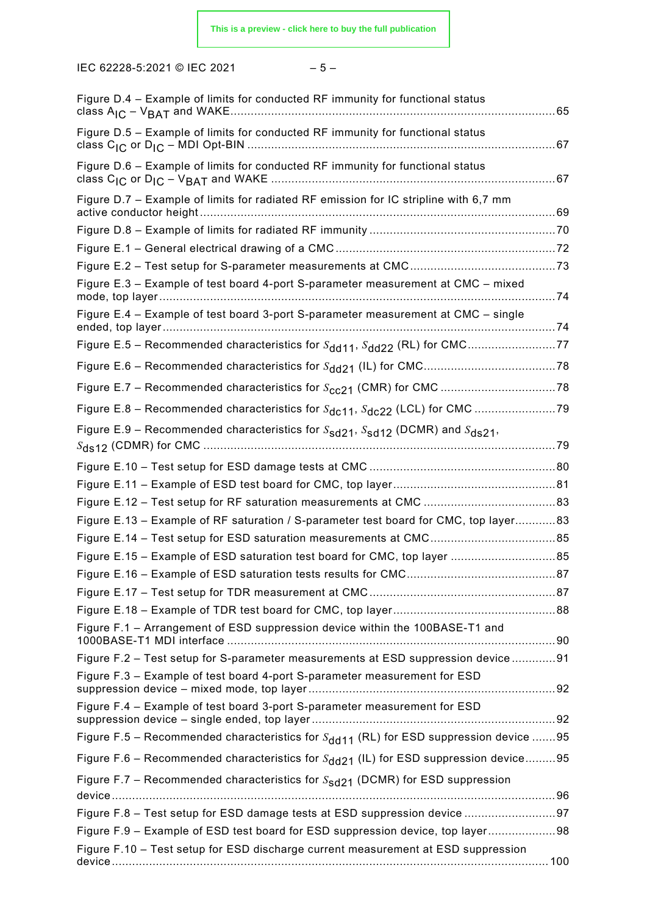$$
-5- \nonumber\\
$$

| Figure D.4 - Example of limits for conducted RF immunity for functional status               |     |
|----------------------------------------------------------------------------------------------|-----|
| Figure D.5 - Example of limits for conducted RF immunity for functional status               |     |
| Figure D.6 - Example of limits for conducted RF immunity for functional status               |     |
| Figure D.7 - Example of limits for radiated RF emission for IC stripline with 6,7 mm         |     |
|                                                                                              |     |
|                                                                                              |     |
|                                                                                              |     |
| Figure E.3 - Example of test board 4-port S-parameter measurement at CMC - mixed             |     |
| Figure E.4 - Example of test board 3-port S-parameter measurement at CMC - single            |     |
| Figure E.5 – Recommended characteristics for $S_{dd11}$ , $S_{dd22}$ (RL) for CMC77          |     |
|                                                                                              |     |
|                                                                                              |     |
|                                                                                              |     |
| Figure E.9 – Recommended characteristics for $S_{sd21}$ , $S_{sd12}$ (DCMR) and $S_{ds21}$ , |     |
|                                                                                              |     |
|                                                                                              |     |
|                                                                                              |     |
| Figure E.13 - Example of RF saturation / S-parameter test board for CMC, top layer83         |     |
|                                                                                              |     |
| Figure E.15 - Example of ESD saturation test board for CMC, top layer 85                     |     |
| Figure E.16 - Example of ESD saturation tests results for CMC                                | .87 |
|                                                                                              |     |
|                                                                                              |     |
| Figure F.1 - Arrangement of ESD suppression device within the 100BASE-T1 and                 |     |
| Figure F.2 - Test setup for S-parameter measurements at ESD suppression device91             |     |
| Figure F.3 - Example of test board 4-port S-parameter measurement for ESD                    |     |
| Figure F.4 - Example of test board 3-port S-parameter measurement for ESD                    |     |
| Figure F.5 - Recommended characteristics for $S_{dd11}$ (RL) for ESD suppression device 95   |     |
| Figure F.6 – Recommended characteristics for $S_{dd21}$ (IL) for ESD suppression device95    |     |
| Figure F.7 – Recommended characteristics for $S_{sd21}$ (DCMR) for ESD suppression           |     |
|                                                                                              |     |
|                                                                                              |     |
| Figure F.9 - Example of ESD test board for ESD suppression device, top layer98               |     |
| Figure F.10 - Test setup for ESD discharge current measurement at ESD suppression            |     |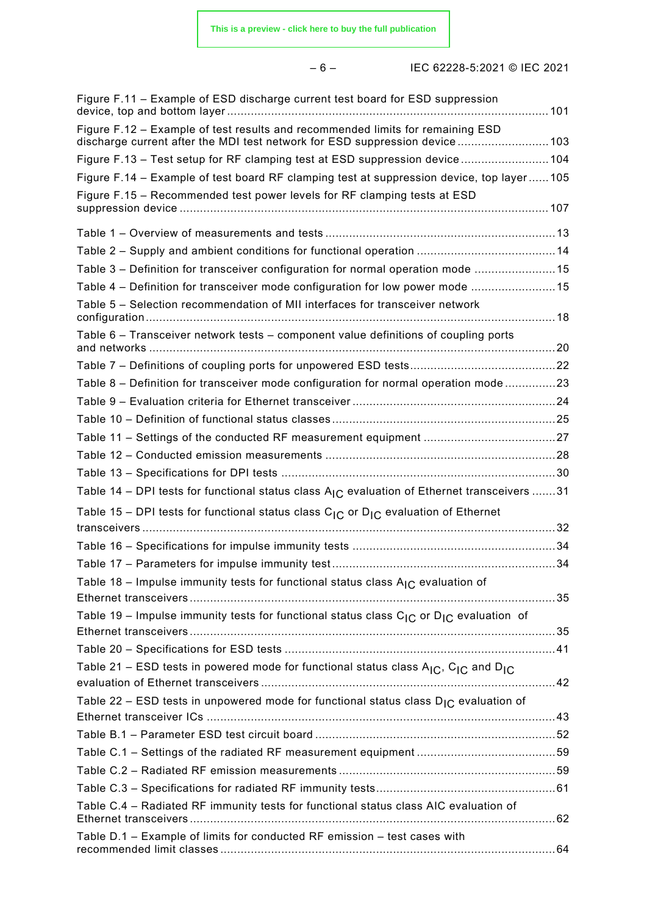– 6 – IEC 62228-5:2021 © IEC 2021

| Figure F.11 - Example of ESD discharge current test board for ESD suppression                                                                                |  |
|--------------------------------------------------------------------------------------------------------------------------------------------------------------|--|
| Figure F.12 - Example of test results and recommended limits for remaining ESD<br>discharge current after the MDI test network for ESD suppression device103 |  |
| Figure F.13 - Test setup for RF clamping test at ESD suppression device 104                                                                                  |  |
| Figure F.14 – Example of test board RF clamping test at suppression device, top layer105                                                                     |  |
| Figure F.15 - Recommended test power levels for RF clamping tests at ESD                                                                                     |  |
|                                                                                                                                                              |  |
|                                                                                                                                                              |  |
|                                                                                                                                                              |  |
| Table 3 – Definition for transceiver configuration for normal operation mode 15                                                                              |  |
| Table 4 - Definition for transceiver mode configuration for low power mode 15                                                                                |  |
| Table 5 - Selection recommendation of MII interfaces for transceiver network                                                                                 |  |
| Table 6 - Transceiver network tests - component value definitions of coupling ports                                                                          |  |
|                                                                                                                                                              |  |
| Table 8 – Definition for transceiver mode configuration for normal operation mode 23                                                                         |  |
|                                                                                                                                                              |  |
|                                                                                                                                                              |  |
|                                                                                                                                                              |  |
|                                                                                                                                                              |  |
|                                                                                                                                                              |  |
| Table 14 – DPI tests for functional status class $A_{IC}$ evaluation of Ethernet transceivers 31                                                             |  |
| Table 15 – DPI tests for functional status class $C_{IC}$ or $D_{IC}$ evaluation of Ethernet                                                                 |  |
|                                                                                                                                                              |  |
|                                                                                                                                                              |  |
|                                                                                                                                                              |  |
| Table 18 – Impulse immunity tests for functional status class $A_{IC}$ evaluation of                                                                         |  |
|                                                                                                                                                              |  |
| Table 19 – Impulse immunity tests for functional status class C <sub>IC</sub> or D <sub>IC</sub> evaluation of                                               |  |
|                                                                                                                                                              |  |
|                                                                                                                                                              |  |
| Table 21 – ESD tests in powered mode for functional status class $A_{IC}$ , C <sub>IC</sub> and D <sub>IC</sub>                                              |  |
|                                                                                                                                                              |  |
| Table 22 - ESD tests in unpowered mode for functional status class $D_{IC}$ evaluation of                                                                    |  |
|                                                                                                                                                              |  |
|                                                                                                                                                              |  |
|                                                                                                                                                              |  |
|                                                                                                                                                              |  |
|                                                                                                                                                              |  |
| Table C.4 - Radiated RF immunity tests for functional status class AIC evaluation of                                                                         |  |
| Table D.1 - Example of limits for conducted RF emission - test cases with                                                                                    |  |
|                                                                                                                                                              |  |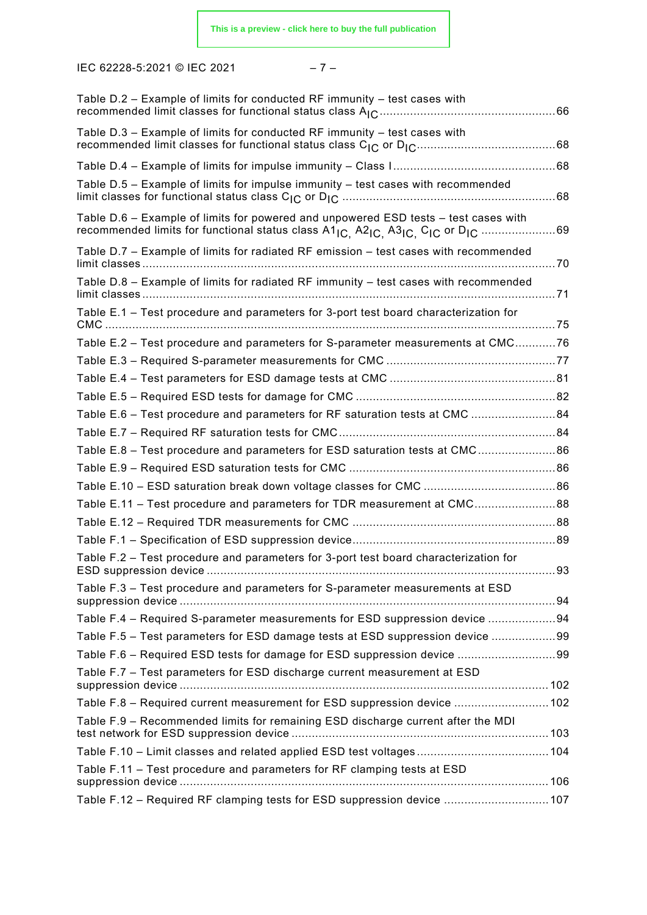$$
-\;7\;-\;
$$

| Table D.2 - Example of limits for conducted RF immunity - test cases with                                                                                                                                                         |  |
|-----------------------------------------------------------------------------------------------------------------------------------------------------------------------------------------------------------------------------------|--|
| Table D.3 - Example of limits for conducted RF immunity - test cases with                                                                                                                                                         |  |
|                                                                                                                                                                                                                                   |  |
| Table D.5 - Example of limits for impulse immunity - test cases with recommended                                                                                                                                                  |  |
| Table D.6 - Example of limits for powered and unpowered ESD tests - test cases with<br>recommended limits for functional status class A1 <sub>IC,</sub> A2 <sub>IC,</sub> A3 <sub>IC,</sub> C <sub>IC</sub> or D <sub>IC</sub> 69 |  |
| Table D.7 - Example of limits for radiated RF emission - test cases with recommended                                                                                                                                              |  |
| Table D.8 - Example of limits for radiated RF immunity - test cases with recommended                                                                                                                                              |  |
| Table E.1 - Test procedure and parameters for 3-port test board characterization for                                                                                                                                              |  |
| Table E.2 - Test procedure and parameters for S-parameter measurements at CMC76                                                                                                                                                   |  |
|                                                                                                                                                                                                                                   |  |
|                                                                                                                                                                                                                                   |  |
|                                                                                                                                                                                                                                   |  |
| Table E.6 - Test procedure and parameters for RF saturation tests at CMC 84                                                                                                                                                       |  |
|                                                                                                                                                                                                                                   |  |
| Table E.8 - Test procedure and parameters for ESD saturation tests at CMC86                                                                                                                                                       |  |
|                                                                                                                                                                                                                                   |  |
|                                                                                                                                                                                                                                   |  |
| Table E.11 - Test procedure and parameters for TDR measurement at CMC88                                                                                                                                                           |  |
|                                                                                                                                                                                                                                   |  |
|                                                                                                                                                                                                                                   |  |
| Table F.2 - Test procedure and parameters for 3-port test board characterization for                                                                                                                                              |  |
| Table F.3 – Test procedure and parameters for S-parameter measurements at ESD                                                                                                                                                     |  |
| Table F.4 - Required S-parameter measurements for ESD suppression device 94                                                                                                                                                       |  |
| Table F.5 – Test parameters for ESD damage tests at ESD suppression device 99                                                                                                                                                     |  |
| Table F.6 - Required ESD tests for damage for ESD suppression device 99                                                                                                                                                           |  |
| Table F.7 - Test parameters for ESD discharge current measurement at ESD                                                                                                                                                          |  |
| Table F.8 - Required current measurement for ESD suppression device  102                                                                                                                                                          |  |
| Table F.9 - Recommended limits for remaining ESD discharge current after the MDI                                                                                                                                                  |  |
|                                                                                                                                                                                                                                   |  |
| Table F.11 – Test procedure and parameters for RF clamping tests at ESD                                                                                                                                                           |  |
| Table F.12 - Required RF clamping tests for ESD suppression device  107                                                                                                                                                           |  |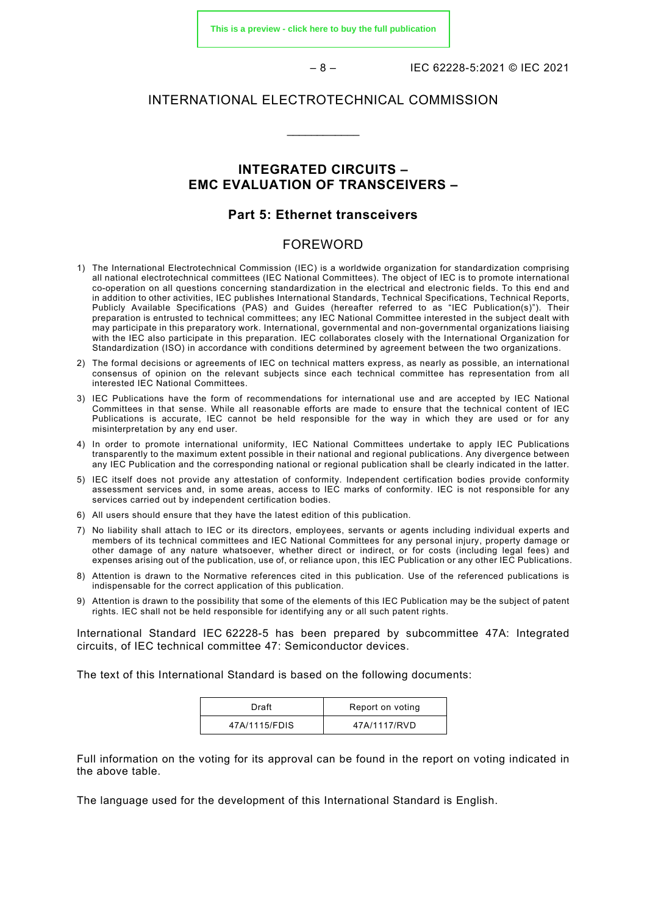**[This is a preview - click here to buy the full publication](https://webstore.iec.ch/publication/62509&preview)**

– 8 – IEC 62228-5:2021 © IEC 2021

#### INTERNATIONAL ELECTROTECHNICAL COMMISSION

\_\_\_\_\_\_\_\_\_\_\_\_

#### **INTEGRATED CIRCUITS – EMC EVALUATION OF TRANSCEIVERS –**

#### **Part 5: Ethernet transceivers**

#### FOREWORD

- <span id="page-7-0"></span>1) The International Electrotechnical Commission (IEC) is a worldwide organization for standardization comprising all national electrotechnical committees (IEC National Committees). The object of IEC is to promote international co-operation on all questions concerning standardization in the electrical and electronic fields. To this end and in addition to other activities, IEC publishes International Standards, Technical Specifications, Technical Reports, Publicly Available Specifications (PAS) and Guides (hereafter referred to as "IEC Publication(s)"). Their preparation is entrusted to technical committees; any IEC National Committee interested in the subject dealt with may participate in this preparatory work. International, governmental and non-governmental organizations liaising with the IEC also participate in this preparation. IEC collaborates closely with the International Organization for Standardization (ISO) in accordance with conditions determined by agreement between the two organizations.
- 2) The formal decisions or agreements of IEC on technical matters express, as nearly as possible, an international consensus of opinion on the relevant subjects since each technical committee has representation from all interested IEC National Committees.
- 3) IEC Publications have the form of recommendations for international use and are accepted by IEC National Committees in that sense. While all reasonable efforts are made to ensure that the technical content of IEC Publications is accurate, IEC cannot be held responsible for the way in which they are used or for any misinterpretation by any end user.
- 4) In order to promote international uniformity, IEC National Committees undertake to apply IEC Publications transparently to the maximum extent possible in their national and regional publications. Any divergence between any IEC Publication and the corresponding national or regional publication shall be clearly indicated in the latter.
- 5) IEC itself does not provide any attestation of conformity. Independent certification bodies provide conformity assessment services and, in some areas, access to IEC marks of conformity. IEC is not responsible for any services carried out by independent certification bodies.
- 6) All users should ensure that they have the latest edition of this publication.
- 7) No liability shall attach to IEC or its directors, employees, servants or agents including individual experts and members of its technical committees and IEC National Committees for any personal injury, property damage or other damage of any nature whatsoever, whether direct or indirect, or for costs (including legal fees) and expenses arising out of the publication, use of, or reliance upon, this IEC Publication or any other IEC Publications.
- 8) Attention is drawn to the Normative references cited in this publication. Use of the referenced publications is indispensable for the correct application of this publication.
- 9) Attention is drawn to the possibility that some of the elements of this IEC Publication may be the subject of patent rights. IEC shall not be held responsible for identifying any or all such patent rights.

International Standard IEC 62228-5 has been prepared by subcommittee 47A: Integrated circuits, of IEC technical committee 47: Semiconductor devices.

The text of this International Standard is based on the following documents:

| Draft         | Report on voting |  |
|---------------|------------------|--|
| 47A/1115/FDIS | 47A/1117/RVD     |  |

Full information on the voting for its approval can be found in the report on voting indicated in the above table.

The language used for the development of this International Standard is English.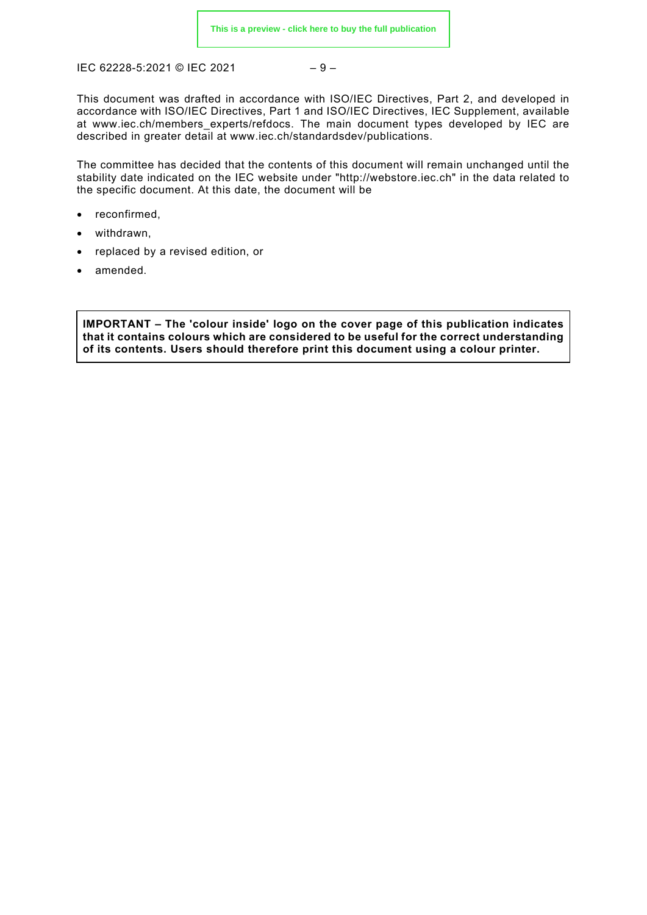$$
-9-
$$

This document was drafted in accordance with ISO/IEC Directives, Part 2, and developed in accordance with ISO/IEC Directives, Part 1 and ISO/IEC Directives, IEC Supplement, available at [www.iec.ch/members\\_experts/refdocs.](http://www.iec.ch/members_experts/refdocs) The main document types developed by IEC are described in greater detail at [www.iec.ch/standardsdev/publications.](http://www.iec.ch/standardsdev/publications)

The committee has decided that the contents of this document will remain unchanged until the stability date indicated on the IEC website under "http://webstore.iec.ch" in the data related to the specific document. At this date, the document will be

- reconfirmed,
- withdrawn,
- replaced by a revised edition, or
- amended.

**IMPORTANT – The 'colour inside' logo on the cover page of this publication indicates that it contains colours which are considered to be useful for the correct understanding of its contents. Users should therefore print this document using a colour printer.**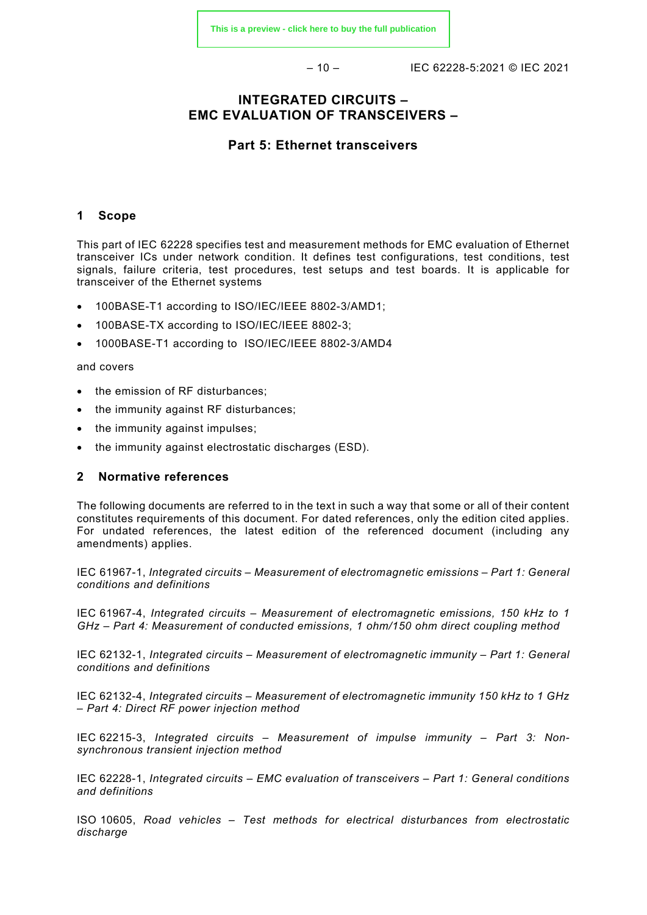$-10 -$  IEC 62228-5:2021 © IEC 2021

#### **INTEGRATED CIRCUITS – EMC EVALUATION OF TRANSCEIVERS –**

#### **Part 5: Ethernet transceivers**

#### <span id="page-9-0"></span>**1 Scope**

This part of IEC 62228 specifies test and measurement methods for EMC evaluation of Ethernet transceiver ICs under network condition. It defines test configurations, test conditions, test signals, failure criteria, test procedures, test setups and test boards. It is applicable for transceiver of the Ethernet systems

- 100BASE-T1 according to ISO/IEC/IEEE 8802-3/AMD1;
- 100BASE-TX according to ISO/IEC/IEEE 8802-3;
- 1000BASE-T1 according to ISO/IEC/IEEE 8802-3/AMD4

and covers

- the emission of RF disturbances;
- the immunity against RF disturbances;
- the immunity against impulses;
- the immunity against electrostatic discharges (ESD).

#### <span id="page-9-1"></span>**2 Normative references**

The following documents are referred to in the text in such a way that some or all of their content constitutes requirements of this document. For dated references, only the edition cited applies. For undated references, the latest edition of the referenced document (including any amendments) applies.

IEC 61967-1, *Integrated circuits – Measurement of electromagnetic emissions – Part 1: General conditions and definitions*

IEC 61967-4, *Integrated circuits – Measurement of electromagnetic emissions, 150 kHz to 1 GHz – Part 4: Measurement of conducted emissions, 1 ohm/150 ohm direct coupling method*

IEC 62132-1, *Integrated circuits – Measurement of electromagnetic immunity – Part 1: General conditions and definitions*

IEC 62132-4, *Integrated circuits – Measurement of electromagnetic immunity 150 kHz to 1 GHz – Part 4: Direct RF power injection method*

IEC 62215-3, *Integrated circuits – Measurement of impulse immunity – Part 3: Nonsynchronous transient injection method*

IEC 62228-1, *Integrated circuits – EMC evaluation of transceivers – Part 1: General conditions and definitions*

ISO 10605, *Road vehicles – Test methods for electrical disturbances from electrostatic discharge*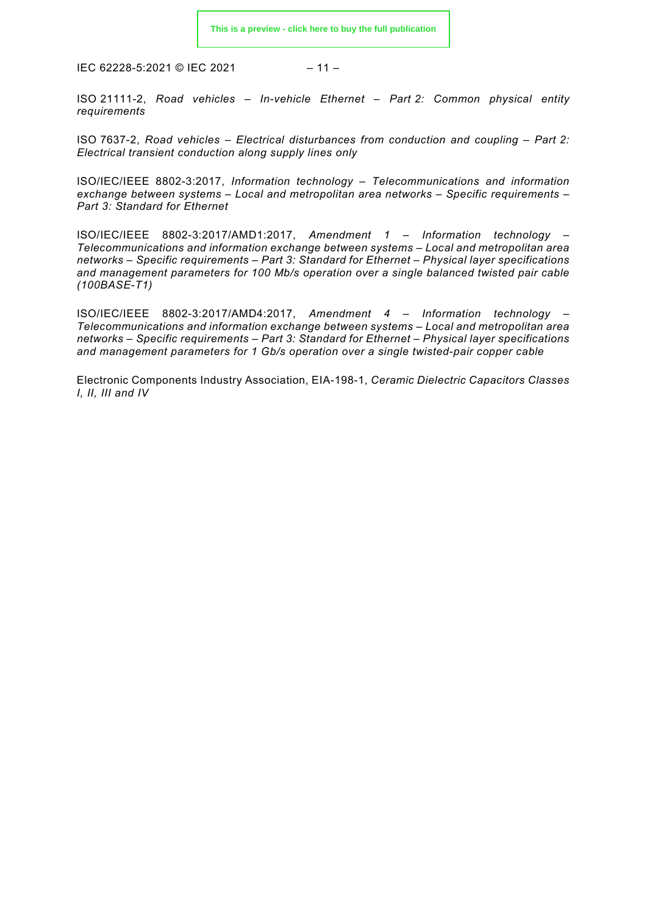$$
-11-
$$

ISO 21111-2, *Road vehicles – In-vehicle Ethernet – Part 2: Common physical entity requirements*

ISO 7637-2, *Road vehicles – Electrical disturbances from conduction and coupling – Part 2: Electrical transient conduction along supply lines only*

ISO/IEC/IEEE 8802-3:2017, *Information technology – Telecommunications and information exchange between systems – Local and metropolitan area networks – Specific requirements – Part 3: Standard for Ethernet*

ISO/IEC/IEEE 8802-3:2017/AMD1:2017, *Amendment 1 – Information technology – Telecommunications and information exchange between systems – Local and metropolitan area networks – Specific requirements – Part 3: Standard for Ethernet – Physical layer specifications and management parameters for 100 Mb/s operation over a single balanced twisted pair cable (100BASE-T1)*

ISO/IEC/IEEE 8802-3:2017/AMD4:2017, *Amendment 4 – Information technology – Telecommunications and information exchange between systems – Local and metropolitan area networks – Specific requirements – Part 3: Standard for Ethernet – Physical layer specifications and management parameters for 1 Gb/s operation over a single twisted-pair copper cable*

<span id="page-10-1"></span><span id="page-10-0"></span>Electronic Components Industry Association, EIA-198-1, *Ceramic Dielectric Capacitors Classes I, II, III and IV*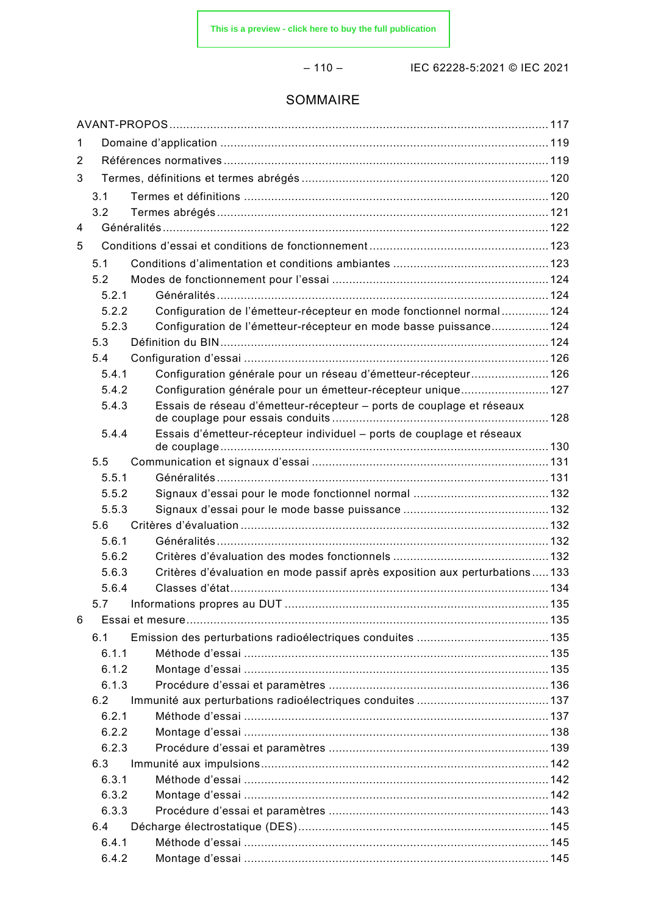– 110 – IEC 62228-5:2021 © IEC 2021

#### SOMMAIRE

| 1 |       |                                                                            |     |
|---|-------|----------------------------------------------------------------------------|-----|
| 2 |       |                                                                            |     |
| 3 |       |                                                                            |     |
|   | 3.1   |                                                                            |     |
|   | 3.2   |                                                                            |     |
| 4 |       |                                                                            |     |
| 5 |       |                                                                            |     |
|   | 5.1   |                                                                            |     |
|   | 5.2   |                                                                            |     |
|   | 5.2.1 |                                                                            |     |
|   | 5.2.2 | Configuration de l'émetteur-récepteur en mode fonctionnel normal 124       |     |
|   | 5.2.3 | Configuration de l'émetteur-récepteur en mode basse puissance 124          |     |
|   | 5.3   |                                                                            |     |
|   | 5.4   |                                                                            |     |
|   | 5.4.1 | Configuration générale pour un réseau d'émetteur-récepteur 126             |     |
|   | 5.4.2 | Configuration générale pour un émetteur-récepteur unique 127               |     |
|   | 5.4.3 | Essais de réseau d'émetteur-récepteur - ports de couplage et réseaux       |     |
|   | 5.4.4 | Essais d'émetteur-récepteur individuel - ports de couplage et réseaux      |     |
|   | 5.5   |                                                                            |     |
|   | 5.5.1 |                                                                            |     |
|   | 5.5.2 |                                                                            |     |
|   | 5.5.3 |                                                                            |     |
|   | 5.6   |                                                                            |     |
|   | 5.6.1 |                                                                            |     |
|   | 5.6.2 |                                                                            |     |
|   | 5.6.3 | Critères d'évaluation en mode passif après exposition aux perturbations133 |     |
|   | 5.6.4 |                                                                            |     |
|   |       |                                                                            | 135 |
| 6 |       |                                                                            |     |
|   | 6.1   |                                                                            |     |
|   | 6.1.1 |                                                                            |     |
|   | 6.1.2 |                                                                            |     |
|   | 6.1.3 |                                                                            |     |
|   | 6.2   |                                                                            |     |
|   | 6.2.1 |                                                                            |     |
|   | 6.2.2 |                                                                            |     |
|   | 6.2.3 |                                                                            |     |
|   | 6.3   |                                                                            |     |
|   | 6.3.1 |                                                                            |     |
|   | 6.3.2 |                                                                            |     |
|   | 6.3.3 |                                                                            |     |
|   | 6.4   |                                                                            |     |
|   | 6.4.1 |                                                                            |     |
|   | 6.4.2 |                                                                            |     |
|   |       |                                                                            |     |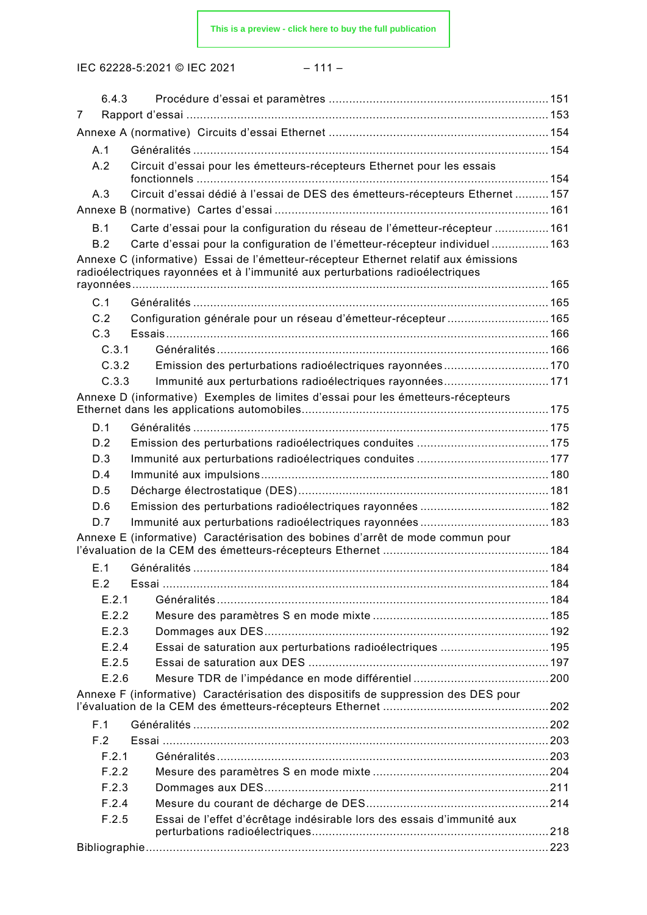IEC 62228-5:2021 © IEC 2021 - 111 -

| 6.4.3 |                                                                                                                                                                      |  |
|-------|----------------------------------------------------------------------------------------------------------------------------------------------------------------------|--|
| 7     |                                                                                                                                                                      |  |
|       |                                                                                                                                                                      |  |
| A.1   |                                                                                                                                                                      |  |
| A.2   | Circuit d'essai pour les émetteurs-récepteurs Ethernet pour les essais                                                                                               |  |
| A.3   | Circuit d'essai dédié à l'essai de DES des émetteurs-récepteurs Ethernet  157                                                                                        |  |
|       |                                                                                                                                                                      |  |
| B.1   | Carte d'essai pour la configuration du réseau de l'émetteur-récepteur  161                                                                                           |  |
| B.2   | Carte d'essai pour la configuration de l'émetteur-récepteur individuel  163                                                                                          |  |
|       | Annexe C (informative) Essai de l'émetteur-récepteur Ethernet relatif aux émissions<br>radioélectriques rayonnées et à l'immunité aux perturbations radioélectriques |  |
|       |                                                                                                                                                                      |  |
| C.1   |                                                                                                                                                                      |  |
| C.2   | Configuration générale pour un réseau d'émetteur-récepteur 165                                                                                                       |  |
| C.3   |                                                                                                                                                                      |  |
| C.3.1 |                                                                                                                                                                      |  |
| C.3.2 | Emission des perturbations radioélectriques rayonnées 170                                                                                                            |  |
| C.3.3 | Immunité aux perturbations radioélectriques rayonnées 171                                                                                                            |  |
|       | Annexe D (informative) Exemples de limites d'essai pour les émetteurs-récepteurs                                                                                     |  |
| D.1   |                                                                                                                                                                      |  |
| D.2   |                                                                                                                                                                      |  |
| D.3   |                                                                                                                                                                      |  |
| D.4   |                                                                                                                                                                      |  |
| D.5   |                                                                                                                                                                      |  |
| D.6   |                                                                                                                                                                      |  |
| D.7   |                                                                                                                                                                      |  |
|       | Annexe E (informative) Caractérisation des bobines d'arrêt de mode commun pour                                                                                       |  |
| E.1   |                                                                                                                                                                      |  |
| E.2   |                                                                                                                                                                      |  |
| E.2.1 |                                                                                                                                                                      |  |
| E.2.2 |                                                                                                                                                                      |  |
| E.2.3 |                                                                                                                                                                      |  |
| E.2.4 | Essai de saturation aux perturbations radioélectriques  195                                                                                                          |  |
| E.2.5 |                                                                                                                                                                      |  |
| E.2.6 |                                                                                                                                                                      |  |
|       | Annexe F (informative) Caractérisation des dispositifs de suppression des DES pour                                                                                   |  |
| F.1   |                                                                                                                                                                      |  |
| F.2   |                                                                                                                                                                      |  |
| F.2.1 |                                                                                                                                                                      |  |
| F.2.2 |                                                                                                                                                                      |  |
| F.2.3 |                                                                                                                                                                      |  |
| F.2.4 |                                                                                                                                                                      |  |
| F.2.5 | Essai de l'effet d'écrêtage indésirable lors des essais d'immunité aux                                                                                               |  |
|       |                                                                                                                                                                      |  |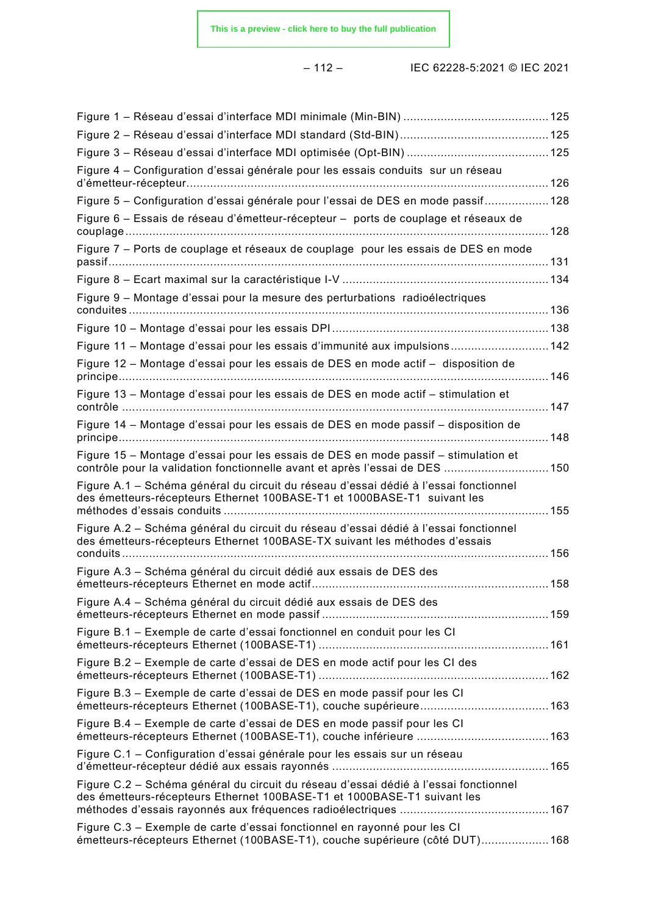– 112 – IEC 62228-5:2021 © IEC 2021

| Figure 4 – Configuration d'essai générale pour les essais conduits sur un réseau                                                                                   |  |
|--------------------------------------------------------------------------------------------------------------------------------------------------------------------|--|
| Figure 5 - Configuration d'essai générale pour l'essai de DES en mode passif 128                                                                                   |  |
| Figure 6 – Essais de réseau d'émetteur-récepteur – ports de couplage et réseaux de                                                                                 |  |
| Figure 7 - Ports de couplage et réseaux de couplage pour les essais de DES en mode                                                                                 |  |
|                                                                                                                                                                    |  |
| Figure 9 - Montage d'essai pour la mesure des perturbations radioélectriques                                                                                       |  |
|                                                                                                                                                                    |  |
| Figure 11 - Montage d'essai pour les essais d'immunité aux impulsions 142                                                                                          |  |
| Figure 12 - Montage d'essai pour les essais de DES en mode actif - disposition de                                                                                  |  |
| Figure 13 - Montage d'essai pour les essais de DES en mode actif - stimulation et                                                                                  |  |
| Figure 14 - Montage d'essai pour les essais de DES en mode passif - disposition de                                                                                 |  |
| Figure 15 - Montage d'essai pour les essais de DES en mode passif - stimulation et<br>contrôle pour la validation fonctionnelle avant et après l'essai de DES  150 |  |
| Figure A.1 - Schéma général du circuit du réseau d'essai dédié à l'essai fonctionnel<br>des émetteurs-récepteurs Ethernet 100BASE-T1 et 1000BASE-T1 suivant les    |  |
| Figure A.2 – Schéma général du circuit du réseau d'essai dédié à l'essai fonctionnel<br>des émetteurs-récepteurs Ethernet 100BASE-TX suivant les méthodes d'essais |  |
| Figure A.3 - Schéma général du circuit dédié aux essais de DES des                                                                                                 |  |
| Figure A.4 - Schéma général du circuit dédié aux essais de DES des                                                                                                 |  |
| Figure B.1 – Exemple de carte d'essai fonctionnel en conduit pour les CI                                                                                           |  |
| Figure B.2 - Exemple de carte d'essai de DES en mode actif pour les CI des                                                                                         |  |
| Figure B.3 - Exemple de carte d'essai de DES en mode passif pour les CI                                                                                            |  |
| Figure B.4 – Exemple de carte d'essai de DES en mode passif pour les CI                                                                                            |  |
| Figure C.1 - Configuration d'essai générale pour les essais sur un réseau                                                                                          |  |
| Figure C.2 - Schéma général du circuit du réseau d'essai dédié à l'essai fonctionnel<br>des émetteurs-récepteurs Ethernet 100BASE-T1 et 1000BASE-T1 suivant les    |  |
| Figure C.3 – Exemple de carte d'essai fonctionnel en rayonné pour les CI<br>émetteurs-récepteurs Ethernet (100BASE-T1), couche supérieure (côté DUT)168            |  |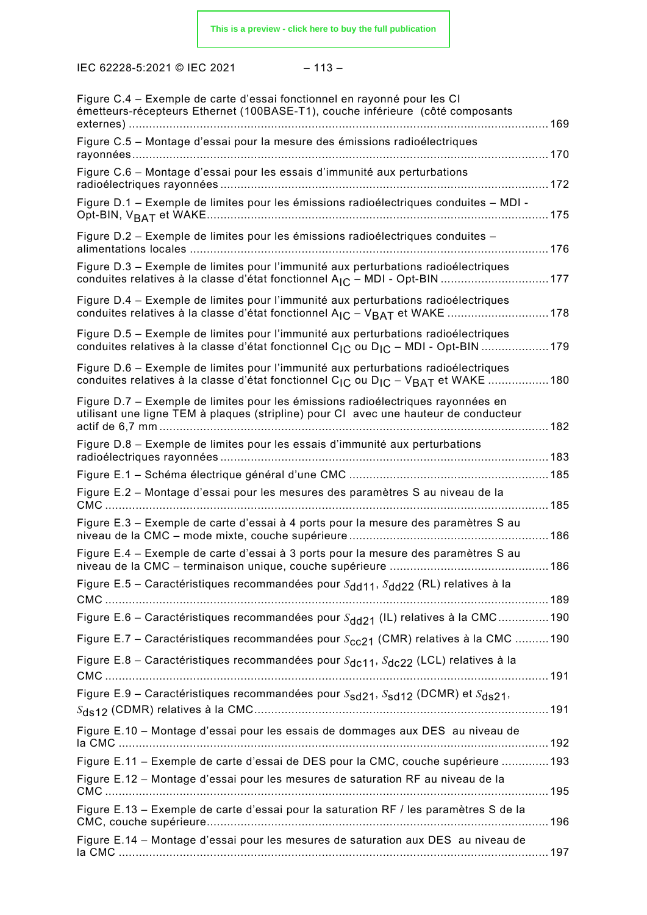|--|--|--|

| Figure C.4 – Exemple de carte d'essai fonctionnel en rayonné pour les CI<br>émetteurs-récepteurs Ethernet (100BASE-T1), couche inférieure (côté composants                                                  |
|-------------------------------------------------------------------------------------------------------------------------------------------------------------------------------------------------------------|
| Figure C.5 - Montage d'essai pour la mesure des émissions radioélectriques                                                                                                                                  |
| Figure C.6 - Montage d'essai pour les essais d'immunité aux perturbations                                                                                                                                   |
| Figure D.1 - Exemple de limites pour les émissions radioélectriques conduites - MDI -                                                                                                                       |
| Figure D.2 - Exemple de limites pour les émissions radioélectriques conduites -                                                                                                                             |
| Figure D.3 - Exemple de limites pour l'immunité aux perturbations radioélectriques<br>conduites relatives à la classe d'état fonctionnel A <sub>IC</sub> – MDI - Opt-BIN  177                               |
| Figure D.4 - Exemple de limites pour l'immunité aux perturbations radioélectriques                                                                                                                          |
| Figure D.5 - Exemple de limites pour l'immunité aux perturbations radioélectriques<br>conduites relatives à la classe d'état fonctionnel C <sub>IC</sub> ou D <sub>IC</sub> - MDI - Opt-BIN  179            |
| Figure D.6 - Exemple de limites pour l'immunité aux perturbations radioélectriques<br>conduites relatives à la classe d'état fonctionnel C <sub>IC</sub> ou D <sub>IC</sub> – V <sub>BAT</sub> et WAKE  180 |
| Figure D.7 - Exemple de limites pour les émissions radioélectriques rayonnées en<br>utilisant une ligne TEM à plaques (stripline) pour CI avec une hauteur de conducteur                                    |
| Figure D.8 - Exemple de limites pour les essais d'immunité aux perturbations                                                                                                                                |
|                                                                                                                                                                                                             |
| Figure E.2 - Montage d'essai pour les mesures des paramètres S au niveau de la                                                                                                                              |
| Figure E.3 – Exemple de carte d'essai à 4 ports pour la mesure des paramètres S au                                                                                                                          |
| Figure E.4 – Exemple de carte d'essai à 3 ports pour la mesure des paramètres S au                                                                                                                          |
| Figure E.5 - Caractéristiques recommandées pour $S_{dd11}$ , $S_{dd22}$ (RL) relatives à la                                                                                                                 |
| Figure E.6 - Caractéristiques recommandées pour S <sub>dd21</sub> (IL) relatives à la CMC 190                                                                                                               |
| Figure E.7 - Caractéristiques recommandées pour $S_{cc21}$ (CMR) relatives à la CMC  190                                                                                                                    |
| Figure E.8 - Caractéristiques recommandées pour $S_{dc11}$ , $S_{dc22}$ (LCL) relatives à la                                                                                                                |
| Figure E.9 - Caractéristiques recommandées pour $S_{sd21}$ , $S_{sd12}$ (DCMR) et $S_{ds21}$ ,                                                                                                              |
| Figure E.10 - Montage d'essai pour les essais de dommages aux DES au niveau de                                                                                                                              |
| Figure E.11 - Exemple de carte d'essai de DES pour la CMC, couche supérieure  193                                                                                                                           |
| Figure E.12 - Montage d'essai pour les mesures de saturation RF au niveau de la                                                                                                                             |
| Figure E.13 - Exemple de carte d'essai pour la saturation RF / les paramètres S de la                                                                                                                       |
| Figure E.14 - Montage d'essai pour les mesures de saturation aux DES au niveau de                                                                                                                           |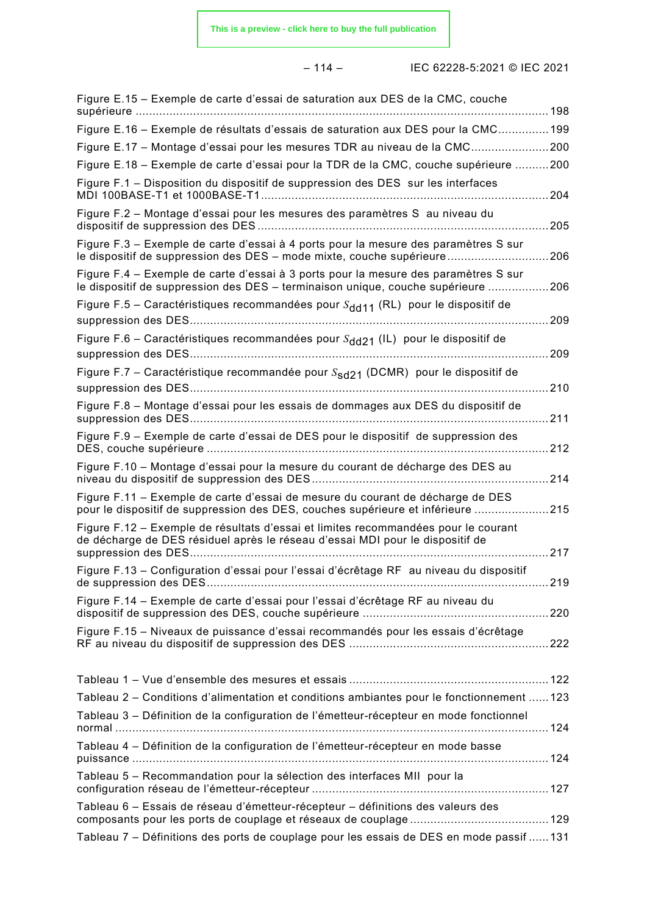#### – 114 – IEC 62228-5:2021 © IEC 2021

| Figure E.15 – Exemple de carte d'essai de saturation aux DES de la CMC, couche                                                                                               |
|------------------------------------------------------------------------------------------------------------------------------------------------------------------------------|
| Figure E.16 - Exemple de résultats d'essais de saturation aux DES pour la CMC 199                                                                                            |
| Figure E.17 - Montage d'essai pour les mesures TDR au niveau de la CMC200                                                                                                    |
| Figure E.18 - Exemple de carte d'essai pour la TDR de la CMC, couche supérieure 200                                                                                          |
| Figure F.1 - Disposition du dispositif de suppression des DES sur les interfaces<br>204                                                                                      |
| Figure F.2 - Montage d'essai pour les mesures des paramètres S au niveau du<br>205                                                                                           |
| Figure F.3 - Exemple de carte d'essai à 4 ports pour la mesure des paramètres S sur<br>le dispositif de suppression des DES - mode mixte, couche supérieure206               |
| Figure F.4 – Exemple de carte d'essai à 3 ports pour la mesure des paramètres S sur<br>le dispositif de suppression des DES - terminaison unique, couche supérieure 206      |
| Figure F.5 – Caractéristiques recommandées pour $S_{dd11}$ (RL) pour le dispositif de<br>209                                                                                 |
| Figure F.6 - Caractéristiques recommandées pour $S_{dd21}$ (IL) pour le dispositif de                                                                                        |
| 209                                                                                                                                                                          |
| Figure F.7 – Caractéristique recommandée pour $S_{sd21}$ (DCMR) pour le dispositif de                                                                                        |
|                                                                                                                                                                              |
| Figure F.8 - Montage d'essai pour les essais de dommages aux DES du dispositif de<br>.211                                                                                    |
| Figure F.9 - Exemple de carte d'essai de DES pour le dispositif de suppression des<br>212                                                                                    |
| Figure F.10 – Montage d'essai pour la mesure du courant de décharge des DES au                                                                                               |
| Figure F.11 – Exemple de carte d'essai de mesure du courant de décharge de DES<br>pour le dispositif de suppression des DES, couches supérieure et inférieure 215            |
| Figure F.12 – Exemple de résultats d'essai et limites recommandées pour le courant<br>de décharge de DES résiduel après le réseau d'essai MDI pour le dispositif de<br>. 217 |
| Figure F.13 - Configuration d'essai pour l'essai d'écrêtage RF au niveau du dispositif                                                                                       |
| Figure F.14 – Exemple de carte d'essai pour l'essai d'écrêtage RF au niveau du                                                                                               |
| Figure F.15 - Niveaux de puissance d'essai recommandés pour les essais d'écrêtage                                                                                            |
|                                                                                                                                                                              |
| Tableau 2 - Conditions d'alimentation et conditions ambiantes pour le fonctionnement  123                                                                                    |
| Tableau 3 – Définition de la configuration de l'émetteur-récepteur en mode fonctionnel                                                                                       |
| Tableau 4 - Définition de la configuration de l'émetteur-récepteur en mode basse                                                                                             |
| Tableau 5 - Recommandation pour la sélection des interfaces MII pour la                                                                                                      |
| Tableau 6 – Essais de réseau d'émetteur-récepteur – définitions des valeurs des                                                                                              |
| Tableau 7 - Définitions des ports de couplage pour les essais de DES en mode passif131                                                                                       |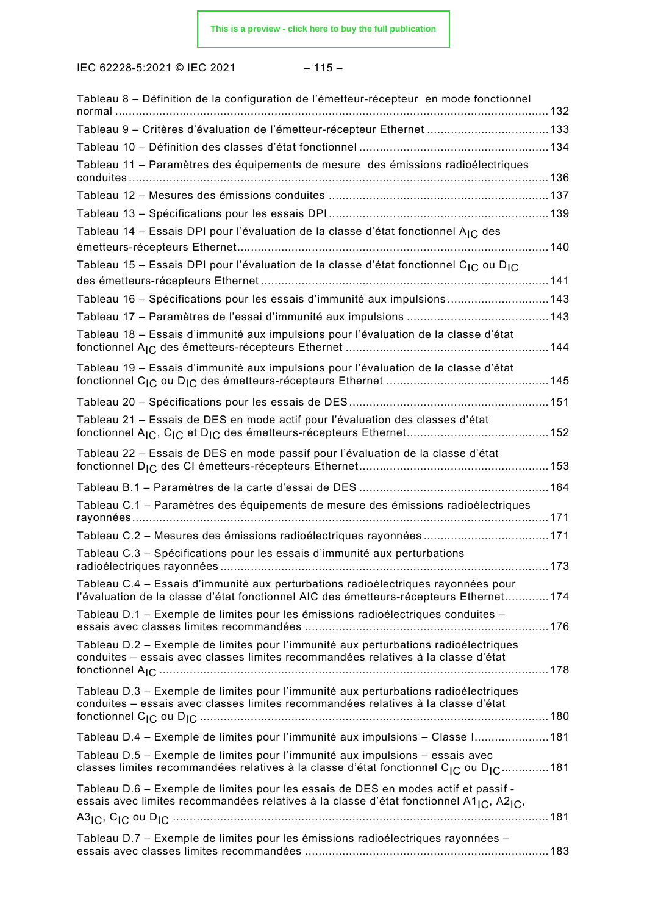|  |  | ۰. |  |
|--|--|----|--|
|--|--|----|--|

| Tableau 8 – Définition de la configuration de l'émetteur-récepteur en mode fonctionnel                                                                                                                |  |
|-------------------------------------------------------------------------------------------------------------------------------------------------------------------------------------------------------|--|
| Tableau 9 - Critères d'évaluation de l'émetteur-récepteur Ethernet  133                                                                                                                               |  |
|                                                                                                                                                                                                       |  |
| Tableau 11 - Paramètres des équipements de mesure des émissions radioélectriques                                                                                                                      |  |
|                                                                                                                                                                                                       |  |
|                                                                                                                                                                                                       |  |
| Tableau 14 - Essais DPI pour l'évaluation de la classe d'état fonctionnel A <sub>IC</sub> des                                                                                                         |  |
|                                                                                                                                                                                                       |  |
| Tableau 15 – Essais DPI pour l'évaluation de la classe d'état fonctionnel C <sub>IC</sub> ou D <sub>IC</sub>                                                                                          |  |
|                                                                                                                                                                                                       |  |
| Tableau 16 - Spécifications pour les essais d'immunité aux impulsions  143                                                                                                                            |  |
|                                                                                                                                                                                                       |  |
| Tableau 18 - Essais d'immunité aux impulsions pour l'évaluation de la classe d'état                                                                                                                   |  |
| Tableau 19 – Essais d'immunité aux impulsions pour l'évaluation de la classe d'état                                                                                                                   |  |
|                                                                                                                                                                                                       |  |
| Tableau 21 - Essais de DES en mode actif pour l'évaluation des classes d'état                                                                                                                         |  |
| Tableau 22 – Essais de DES en mode passif pour l'évaluation de la classe d'état                                                                                                                       |  |
|                                                                                                                                                                                                       |  |
| Tableau C.1 – Paramètres des équipements de mesure des émissions radioélectriques                                                                                                                     |  |
|                                                                                                                                                                                                       |  |
| Tableau C.3 - Spécifications pour les essais d'immunité aux perturbations                                                                                                                             |  |
| Tableau C.4 – Essais d'immunité aux perturbations radioélectriques rayonnées pour<br>l'évaluation de la classe d'état fonctionnel AIC des émetteurs-récepteurs Ethernet174                            |  |
| Tableau D.1 - Exemple de limites pour les émissions radioélectriques conduites -                                                                                                                      |  |
| Tableau D.2 - Exemple de limites pour l'immunité aux perturbations radioélectriques<br>conduites - essais avec classes limites recommandées relatives à la classe d'état                              |  |
| Tableau D.3 - Exemple de limites pour l'immunité aux perturbations radioélectriques<br>conduites - essais avec classes limites recommandées relatives à la classe d'état                              |  |
| Tableau D.4 - Exemple de limites pour l'immunité aux impulsions - Classe I 181                                                                                                                        |  |
| Tableau D.5 – Exemple de limites pour l'immunité aux impulsions – essais avec<br>classes limites recommandées relatives à la classe d'état fonctionnel C <sub>IC</sub> ou D <sub>IC</sub> 181         |  |
| Tableau D.6 - Exemple de limites pour les essais de DES en modes actif et passif -<br>essais avec limites recommandées relatives à la classe d'état fonctionnel A1 <sub>IC</sub> , A2 <sub>IC</sub> , |  |
| Tableau D.7 - Exemple de limites pour les émissions radioélectriques rayonnées -                                                                                                                      |  |
|                                                                                                                                                                                                       |  |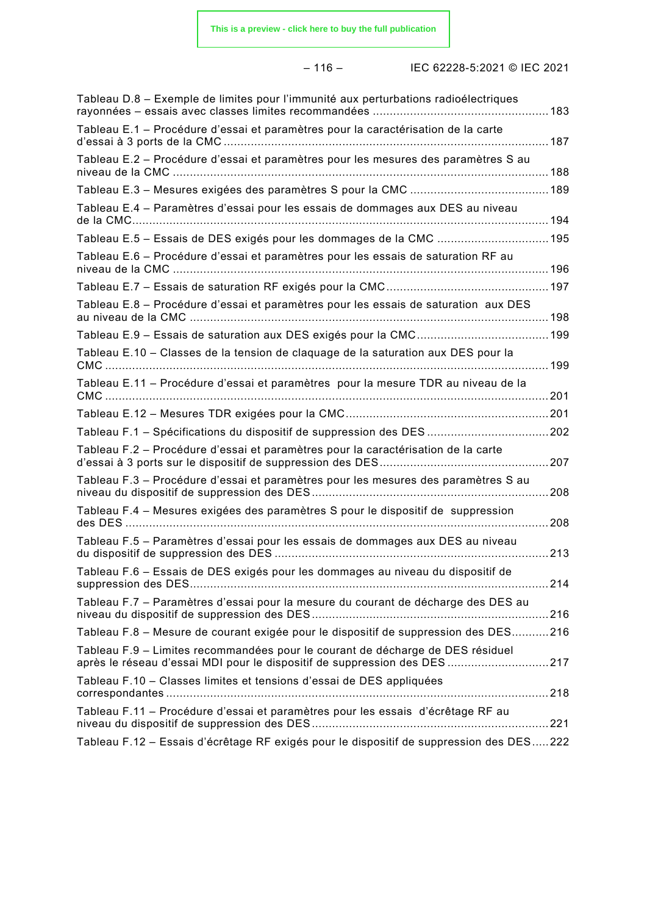– 116 – IEC 62228-5:2021 © IEC 2021

| Tableau D.8 - Exemple de limites pour l'immunité aux perturbations radioélectriques                                                                        |     |
|------------------------------------------------------------------------------------------------------------------------------------------------------------|-----|
| Tableau E.1 - Procédure d'essai et paramètres pour la caractérisation de la carte                                                                          | 187 |
| Tableau E.2 - Procédure d'essai et paramètres pour les mesures des paramètres S au                                                                         | 188 |
|                                                                                                                                                            |     |
| Tableau E.4 - Paramètres d'essai pour les essais de dommages aux DES au niveau                                                                             | 194 |
| Tableau E.5 - Essais de DES exigés pour les dommages de la CMC  195                                                                                        |     |
| Tableau E.6 - Procédure d'essai et paramètres pour les essais de saturation RF au                                                                          |     |
|                                                                                                                                                            |     |
| Tableau E.8 - Procédure d'essai et paramètres pour les essais de saturation aux DES                                                                        | 198 |
|                                                                                                                                                            |     |
| Tableau E.10 - Classes de la tension de claquage de la saturation aux DES pour la                                                                          | 199 |
| Tableau E.11 – Procédure d'essai et paramètres pour la mesure TDR au niveau de la                                                                          | 201 |
|                                                                                                                                                            |     |
| Tableau F.1 - Spécifications du dispositif de suppression des DES202                                                                                       |     |
| Tableau F.2 – Procédure d'essai et paramètres pour la caractérisation de la carte                                                                          | 207 |
| Tableau F.3 - Procédure d'essai et paramètres pour les mesures des paramètres S au                                                                         | 208 |
| Tableau F.4 - Mesures exigées des paramètres S pour le dispositif de suppression                                                                           | 208 |
| Tableau F.5 - Paramètres d'essai pour les essais de dommages aux DES au niveau                                                                             | 213 |
| Tableau F.6 – Essais de DES exigés pour les dommages au niveau du dispositif de                                                                            |     |
| Tableau F.7 - Paramètres d'essai pour la mesure du courant de décharge des DES au                                                                          |     |
| Tableau F.8 - Mesure de courant exigée pour le dispositif de suppression des DES216                                                                        |     |
| Tableau F.9 – Limites recommandées pour le courant de décharge de DES résiduel<br>après le réseau d'essai MDI pour le dispositif de suppression des DES217 |     |
| Tableau F.10 - Classes limites et tensions d'essai de DES appliquées                                                                                       |     |
| Tableau F.11 - Procédure d'essai et paramètres pour les essais d'écrêtage RF au                                                                            | 221 |
| Tableau F.12 - Essais d'écrêtage RF exigés pour le dispositif de suppression des DES222                                                                    |     |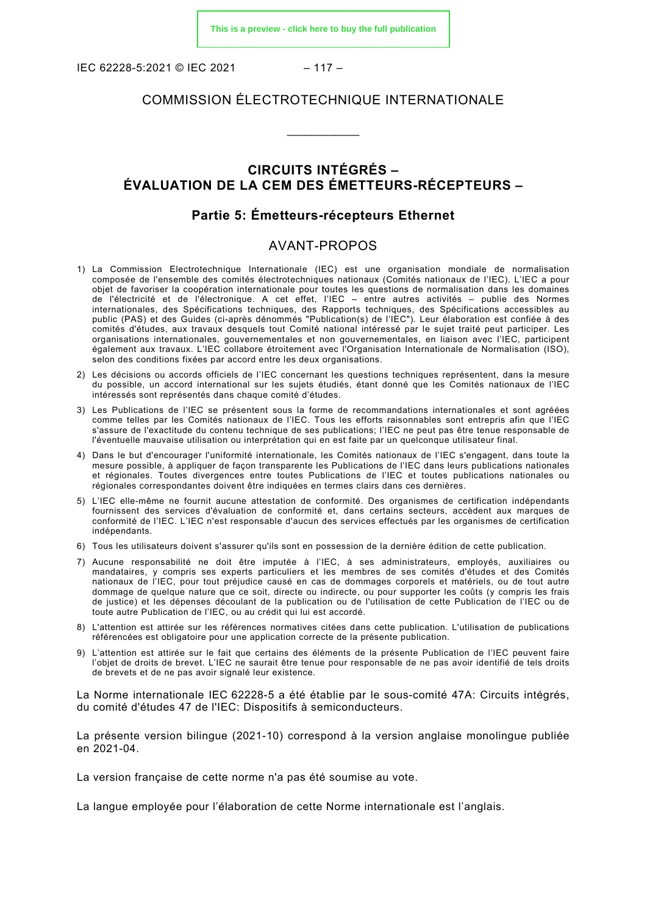IEC 62228-5:2021 © IEC 2021 – 117 –

#### COMMISSION ÉLECTROTECHNIQUE INTERNATIONALE

\_\_\_\_\_\_\_\_\_\_\_\_

#### **CIRCUITS INTÉGRÉS – ÉVALUATION DE LA CEM DES ÉMETTEURS-RÉCEPTEURS –**

#### **Partie 5: Émetteurs-récepteurs Ethernet**

#### AVANT-PROPOS

- <span id="page-18-0"></span>1) La Commission Electrotechnique Internationale (IEC) est une organisation mondiale de normalisation composée de l'ensemble des comités électrotechniques nationaux (Comités nationaux de l'IEC). L'IEC a pour objet de favoriser la coopération internationale pour toutes les questions de normalisation dans les domaines de l'électricité et de l'électronique. A cet effet, l'IEC – entre autres activités – publie des Normes internationales, des Spécifications techniques, des Rapports techniques, des Spécifications accessibles au public (PAS) et des Guides (ci-après dénommés "Publication(s) de l'IEC"). Leur élaboration est confiée à des comités d'études, aux travaux desquels tout Comité national intéressé par le sujet traité peut participer. Les organisations internationales, gouvernementales et non gouvernementales, en liaison avec l'IEC, participent également aux travaux. L'IEC collabore étroitement avec l'Organisation Internationale de Normalisation (ISO), selon des conditions fixées par accord entre les deux organisations.
- 2) Les décisions ou accords officiels de l'IEC concernant les questions techniques représentent, dans la mesure du possible, un accord international sur les sujets étudiés, étant donné que les Comités nationaux de l'IEC intéressés sont représentés dans chaque comité d'études.
- 3) Les Publications de l'IEC se présentent sous la forme de recommandations internationales et sont agréées comme telles par les Comités nationaux de l'IEC. Tous les efforts raisonnables sont entrepris afin que l'IEC s'assure de l'exactitude du contenu technique de ses publications; l'IEC ne peut pas être tenue responsable de l'éventuelle mauvaise utilisation ou interprétation qui en est faite par un quelconque utilisateur final.
- 4) Dans le but d'encourager l'uniformité internationale, les Comités nationaux de l'IEC s'engagent, dans toute la mesure possible, à appliquer de façon transparente les Publications de l'IEC dans leurs publications nationales et régionales. Toutes divergences entre toutes Publications de l'IEC et toutes publications nationales ou régionales correspondantes doivent être indiquées en termes clairs dans ces dernières.
- 5) L'IEC elle-même ne fournit aucune attestation de conformité. Des organismes de certification indépendants fournissent des services d'évaluation de conformité et, dans certains secteurs, accèdent aux marques de conformité de l'IEC. L'IEC n'est responsable d'aucun des services effectués par les organismes de certification indépendants.
- 6) Tous les utilisateurs doivent s'assurer qu'ils sont en possession de la dernière édition de cette publication.
- 7) Aucune responsabilité ne doit être imputée à l'IEC, à ses administrateurs, employés, auxiliaires ou mandataires, y compris ses experts particuliers et les membres de ses comités d'études et des Comités nationaux de l'IEC, pour tout préjudice causé en cas de dommages corporels et matériels, ou de tout autre dommage de quelque nature que ce soit, directe ou indirecte, ou pour supporter les coûts (y compris les frais de justice) et les dépenses découlant de la publication ou de l'utilisation de cette Publication de l'IEC ou de toute autre Publication de l'IEC, ou au crédit qui lui est accordé.
- 8) L'attention est attirée sur les références normatives citées dans cette publication. L'utilisation de publications référencées est obligatoire pour une application correcte de la présente publication.
- 9) L'attention est attirée sur le fait que certains des éléments de la présente Publication de l'IEC peuvent faire l'objet de droits de brevet. L'IEC ne saurait être tenue pour responsable de ne pas avoir identifié de tels droits de brevets et de ne pas avoir signalé leur existence.

La Norme internationale IEC 62228-5 a été établie par le sous-comité 47A: Circuits intégrés, du comité d'études 47 de l'IEC: Dispositifs à semiconducteurs.

La présente version bilingue (2021-10) correspond à la version anglaise monolingue publiée en 2021-04.

La version française de cette norme n'a pas été soumise au vote.

La langue employée pour l'élaboration de cette Norme internationale est l'anglais.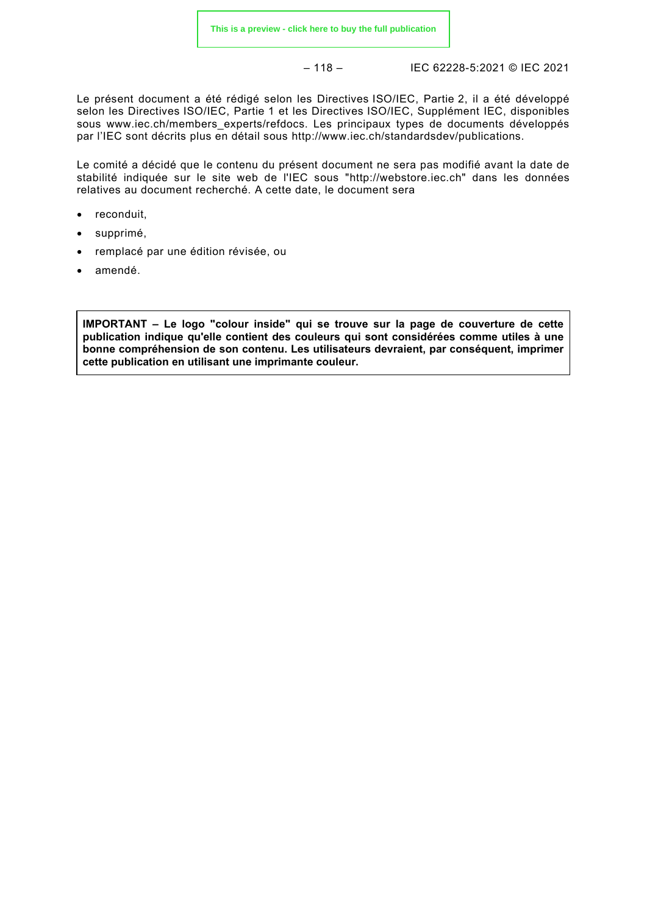– 118 – IEC 62228-5:2021 © IEC 2021

Le présent document a été rédigé selon les Directives ISO/IEC, Partie 2, il a été développé selon les Directives ISO/IEC, Partie 1 et les Directives ISO/IEC, Supplément IEC, disponibles sous [www.iec.ch/members\\_experts/refdocs.](http://www.iec.ch/members_experts/refdocs) Les principaux types de documents développés par l'IEC sont décrits plus en détail sous [http://www.iec.ch/standardsdev/publications.](http://www.iec.ch/standardsdev/publications)

Le comité a décidé que le contenu du présent document ne sera pas modifié avant la date de stabilité indiquée sur le site web de l'IEC sous "http://webstore.iec.ch" dans les données relatives au document recherché. A cette date, le document sera

- reconduit,
- supprimé,
- remplacé par une édition révisée, ou
- amendé.

**IMPORTANT – Le logo "colour inside" qui se trouve sur la page de couverture de cette publication indique qu'elle contient des couleurs qui sont considérées comme utiles à une bonne compréhension de son contenu. Les utilisateurs devraient, par conséquent, imprimer cette publication en utilisant une imprimante couleur.**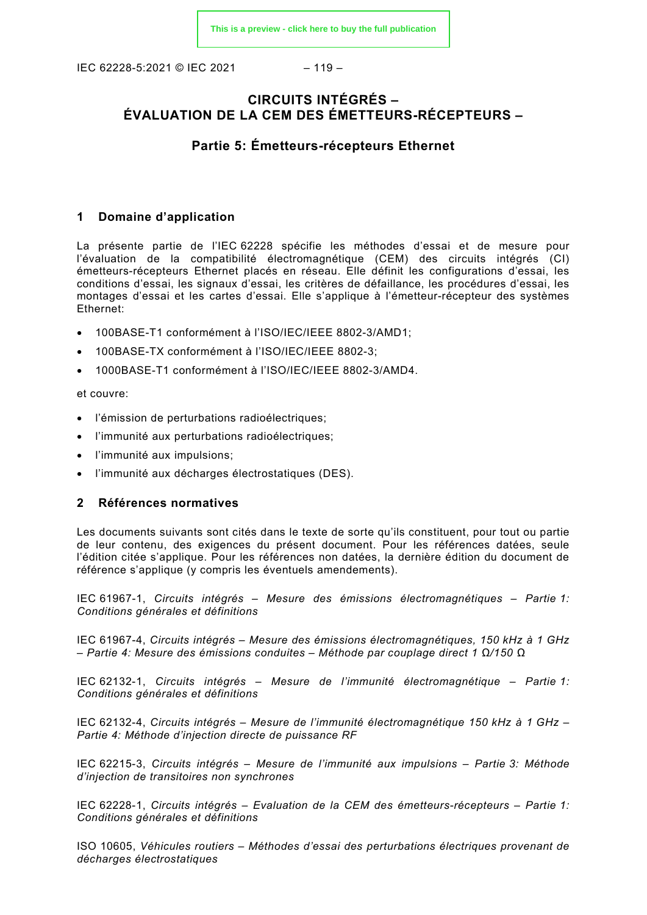IEC 62228-5:2021 © IEC 2021 – 119 –

#### **CIRCUITS INTÉGRÉS – ÉVALUATION DE LA CEM DES ÉMETTEURS-RÉCEPTEURS –**

#### **Partie 5: Émetteurs-récepteurs Ethernet**

#### <span id="page-20-0"></span>**1 Domaine d'application**

La présente partie de l'IEC 62228 spécifie les méthodes d'essai et de mesure pour l'évaluation de la compatibilité électromagnétique (CEM) des circuits intégrés (CI) émetteurs-récepteurs Ethernet placés en réseau. Elle définit les configurations d'essai, les conditions d'essai, les signaux d'essai, les critères de défaillance, les procédures d'essai, les montages d'essai et les cartes d'essai. Elle s'applique à l'émetteur-récepteur des systèmes Ethernet:

- 100BASE-T1 conformément à l'ISO/IEC/IEEE 8802-3/AMD1;
- 100BASE-TX conformément à l'ISO/IEC/IEEE 8802-3;
- 1000BASE-T1 conformément à l'ISO/IEC/IEEE 8802-3/AMD4.

et couvre:

- l'émission de perturbations radioélectriques;
- l'immunité aux perturbations radioélectriques;
- l'immunité aux impulsions;
- l'immunité aux décharges électrostatiques (DES).

#### <span id="page-20-1"></span>**2 Références normatives**

Les documents suivants sont cités dans le texte de sorte qu'ils constituent, pour tout ou partie de leur contenu, des exigences du présent document. Pour les références datées, seule l'édition citée s'applique. Pour les références non datées, la dernière édition du document de référence s'applique (y compris les éventuels amendements).

IEC 61967-1, *Circuits intégrés – Mesure des émissions électromagnétiques – Partie 1: Conditions générales et définitions*

IEC 61967-4, *Circuits intégrés – Mesure des émissions électromagnétiques, 150 kHz à 1 GHz – Partie 4: Mesure des émissions conduites – Méthode par couplage direct 1 Ω/150 Ω*

IEC 62132-1, *Circuits intégrés – Mesure de l'immunité électromagnétique – Partie 1: Conditions générales et définitions*

IEC 62132-4, *Circuits intégrés – Mesure de l'immunité électromagnétique 150 kHz à 1 GHz – Partie 4: Méthode d'injection directe de puissance RF*

IEC 62215-3, *Circuits intégrés – Mesure de l'immunité aux impulsions – Partie 3: Méthode d'injection de transitoires non synchrones*

IEC 62228-1, *Circuits intégrés – Evaluation de la CEM des émetteurs-récepteurs – Partie 1: Conditions générales et définitions*

ISO 10605, *Véhicules routiers – Méthodes d'essai des perturbations électriques provenant de décharges électrostatiques*